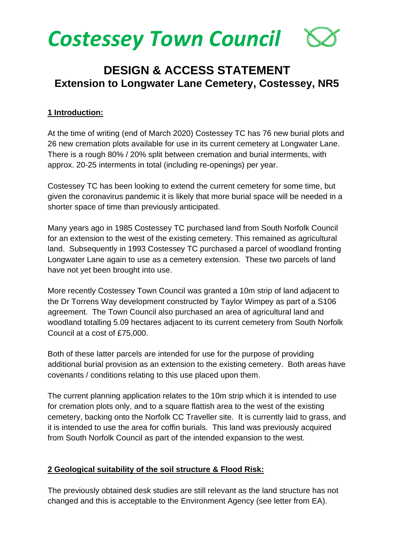

# **DESIGN & ACCESS STATEMENT Extension to Longwater Lane Cemetery, Costessey, NR5**

#### **1 Introduction:**

At the time of writing (end of March 2020) Costessey TC has 76 new burial plots and 26 new cremation plots available for use in its current cemetery at Longwater Lane. There is a rough 80% / 20% split between cremation and burial interments, with approx. 20-25 interments in total (including re-openings) per year.

Costessey TC has been looking to extend the current cemetery for some time, but given the coronavirus pandemic it is likely that more burial space will be needed in a shorter space of time than previously anticipated.

Many years ago in 1985 Costessey TC purchased land from South Norfolk Council for an extension to the west of the existing cemetery. This remained as agricultural land. Subsequently in 1993 Costessey TC purchased a parcel of woodland fronting Longwater Lane again to use as a cemetery extension. These two parcels of land have not yet been brought into use.

More recently Costessey Town Council was granted a 10m strip of land adjacent to the Dr Torrens Way development constructed by Taylor Wimpey as part of a S106 agreement. The Town Council also purchased an area of agricultural land and woodland totalling 5.09 hectares adjacent to its current cemetery from South Norfolk Council at a cost of £75,000.

Both of these latter parcels are intended for use for the purpose of providing additional burial provision as an extension to the existing cemetery. Both areas have covenants / conditions relating to this use placed upon them.

The current planning application relates to the 10m strip which it is intended to use for cremation plots only, and to a square flattish area to the west of the existing cemetery, backing onto the Norfolk CC Traveller site. It is currently laid to grass, and it is intended to use the area for coffin burials. This land was previously acquired from South Norfolk Council as part of the intended expansion to the west.

#### **2 Geological suitability of the soil structure & Flood Risk:**

The previously obtained desk studies are still relevant as the land structure has not changed and this is acceptable to the Environment Agency (see letter from EA).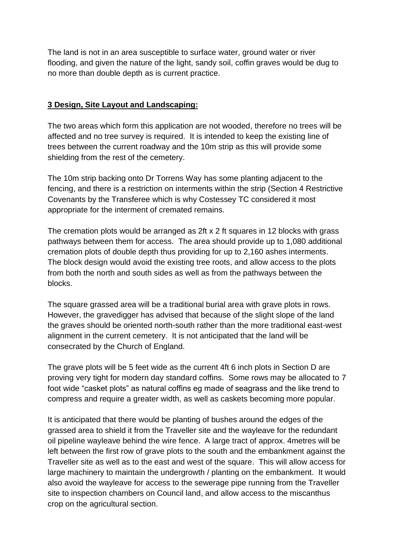The land is not in an area susceptible to surface water, ground water or river flooding, and given the nature of the light, sandy soil, coffin graves would be dug to no more than double depth as is current practice.

### **3 Design, Site Layout and Landscaping:**

The two areas which form this application are not wooded, therefore no trees will be affected and no tree survey is required. It is intended to keep the existing line of trees between the current roadway and the 10m strip as this will provide some shielding from the rest of the cemetery.

The 10m strip backing onto Dr Torrens Way has some planting adjacent to the fencing, and there is a restriction on interments within the strip (Section 4 Restrictive Covenants by the Transferee which is why Costessey TC considered it most appropriate for the interment of cremated remains.

The cremation plots would be arranged as 2ft x 2 ft squares in 12 blocks with grass pathways between them for access. The area should provide up to 1,080 additional cremation plots of double depth thus providing for up to 2,160 ashes interments. The block design would avoid the existing tree roots, and allow access to the plots from both the north and south sides as well as from the pathways between the blocks.

The square grassed area will be a traditional burial area with grave plots in rows. However, the gravedigger has advised that because of the slight slope of the land the graves should be oriented north-south rather than the more traditional east-west alignment in the current cemetery. It is not anticipated that the land will be consecrated by the Church of England.

The grave plots will be 5 feet wide as the current 4ft 6 inch plots in Section D are proving very tight for modern day standard coffins. Some rows may be allocated to 7 foot wide "casket plots" as natural coffins eg made of seagrass and the like trend to compress and require a greater width, as well as caskets becoming more popular.

It is anticipated that there would be planting of bushes around the edges of the grassed area to shield it from the Traveller site and the wayleave for the redundant oil pipeline wayleave behind the wire fence. A large tract of approx. 4metres will be left between the first row of grave plots to the south and the embankment against the Traveller site as well as to the east and west of the square. This will allow access for large machinery to maintain the undergrowth / planting on the embankment. It would also avoid the wayleave for access to the sewerage pipe running from the Traveller site to inspection chambers on Council land, and allow access to the miscanthus crop on the agricultural section.